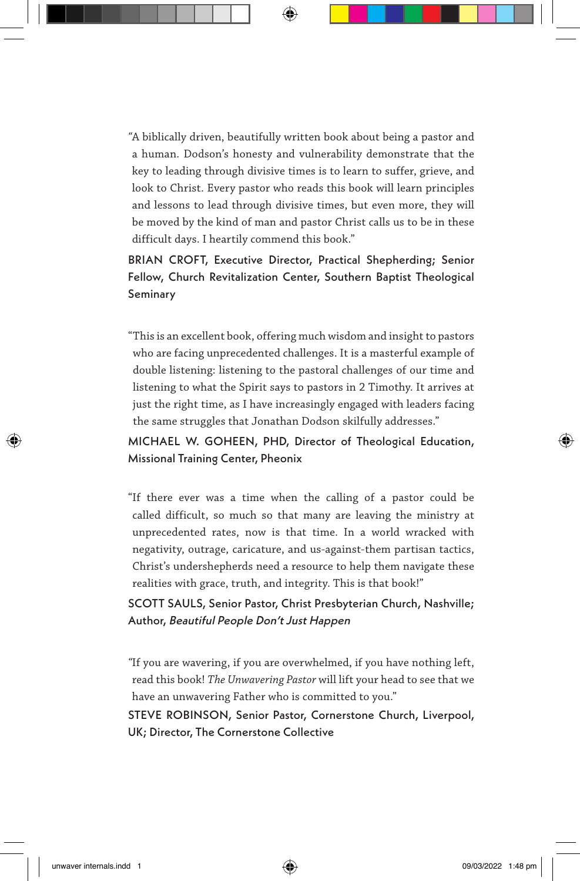*"*A biblically driven, beautifully written book about being a pastor and a human. Dodson's honesty and vulnerability demonstrate that the key to leading through divisive times is to learn to suffer, grieve, and look to Christ. Every pastor who reads this book will learn principles and lessons to lead through divisive times, but even more, they will be moved by the kind of man and pastor Christ calls us to be in these difficult days. I heartily commend this book."

BRIAN CROFT, Executive Director, Practical Shepherding; Senior Fellow, Church Revitalization Center, Southern Baptist Theological Seminary

"This is an excellent book, offering much wisdom and insight to pastors who are facing unprecedented challenges. It is a masterful example of double listening: listening to the pastoral challenges of our time and listening to what the Spirit says to pastors in 2 Timothy. It arrives at just the right time, as I have increasingly engaged with leaders facing the same struggles that Jonathan Dodson skilfully addresses."

MICHAEL W. GOHEEN, PHD, Director of Theological Education, Missional Training Center, Pheonix

"If there ever was a time when the calling of a pastor could be called difficult, so much so that many are leaving the ministry at unprecedented rates, now is that time. In a world wracked with negativity, outrage, caricature, and us-against-them partisan tactics, Christ's undershepherds need a resource to help them navigate these realities with grace, truth, and integrity. This is that book!"

SCOTT SAULS, Senior Pastor, Christ Presbyterian Church, Nashville; Author, Beautiful People Don't Just Happen

*"*If you are wavering, if you are overwhelmed, if you have nothing left, read this book! *The Unwavering Pastor* will lift your head to see that we have an unwavering Father who is committed to you."

STEVE ROBINSON, Senior Pastor, Cornerstone Church, Liverpool, UK; Director, The Cornerstone Collective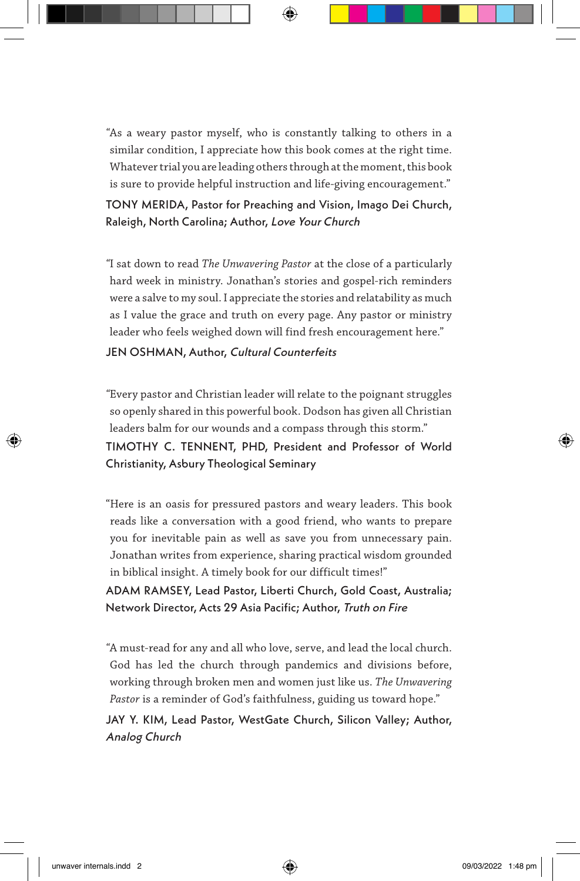*"*As a weary pastor myself, who is constantly talking to others in a similar condition, I appreciate how this book comes at the right time. Whatever trial you are leading others through at the moment, this book is sure to provide helpful instruction and life-giving encouragement."

### TONY MERIDA, Pastor for Preaching and Vision, Imago Dei Church, Raleigh, North Carolina; Author, Love Your Church

*"*I sat down to read *The Unwavering Pastor* at the close of a particularly hard week in ministry. Jonathan's stories and gospel-rich reminders were a salve to my soul. I appreciate the stories and relatability as much as I value the grace and truth on every page. Any pastor or ministry leader who feels weighed down will find fresh encouragement here."

### JEN OSHMAN, Author, Cultural Counterfeits

*"*Every pastor and Christian leader will relate to the poignant struggles so openly shared in this powerful book. Dodson has given all Christian leaders balm for our wounds and a compass through this storm."

TIMOTHY C. TENNENT, PHD, President and Professor of World Christianity, Asbury Theological Seminary

"Here is an oasis for pressured pastors and weary leaders. This book reads like a conversation with a good friend, who wants to prepare you for inevitable pain as well as save you from unnecessary pain. Jonathan writes from experience, sharing practical wisdom grounded in biblical insight. A timely book for our difficult times!"

ADAM RAMSEY, Lead Pastor, Liberti Church, Gold Coast, Australia; Network Director, Acts 29 Asia Pacific; Author, Truth on Fire

*"*A must-read for any and all who love, serve, and lead the local church. God has led the church through pandemics and divisions before, working through broken men and women just like us. *The Unwavering Pastor* is a reminder of God's faithfulness, guiding us toward hope."

JAY Y. KIM, Lead Pastor, WestGate Church, Silicon Valley; Author, Analog Church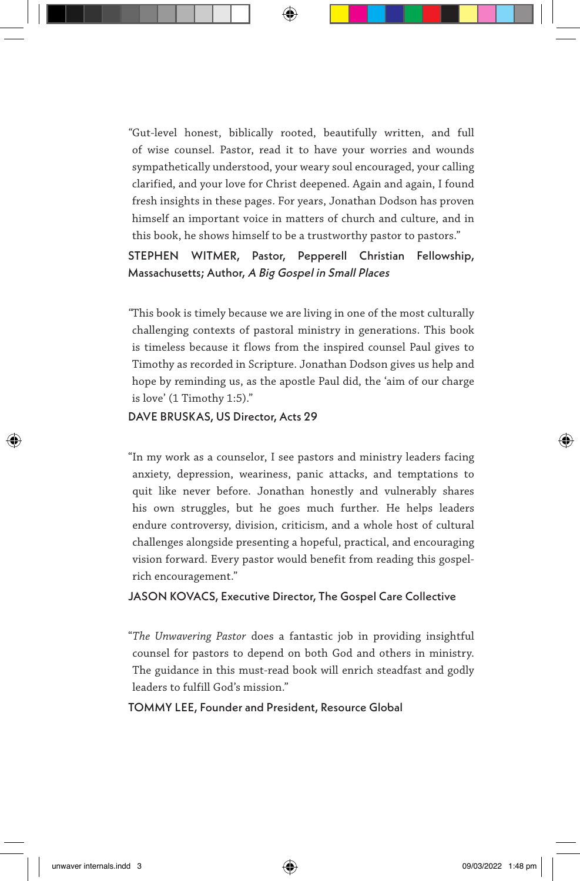*"*Gut-level honest, biblically rooted, beautifully written, and full of wise counsel. Pastor, read it to have your worries and wounds sympathetically understood, your weary soul encouraged, your calling clarified, and your love for Christ deepened. Again and again, I found fresh insights in these pages. For years, Jonathan Dodson has proven himself an important voice in matters of church and culture, and in this book, he shows himself to be a trustworthy pastor to pastors."

STEPHEN WITMER, Pastor, Pepperell Christian Fellowship, Massachusetts; Author, A Big Gospel in Small Places

*"*This book is timely because we are living in one of the most culturally challenging contexts of pastoral ministry in generations. This book is timeless because it flows from the inspired counsel Paul gives to Timothy as recorded in Scripture. Jonathan Dodson gives us help and hope by reminding us, as the apostle Paul did, the 'aim of our charge is love' (1 Timothy 1:5)."

### DAVE BRUSKAS, US Director, Acts 29

"In my work as a counselor, I see pastors and ministry leaders facing anxiety, depression, weariness, panic attacks, and temptations to quit like never before. Jonathan honestly and vulnerably shares his own struggles, but he goes much further. He helps leaders endure controversy, division, criticism, and a whole host of cultural challenges alongside presenting a hopeful, practical, and encouraging vision forward. Every pastor would benefit from reading this gospelrich encouragement."

#### JASON KOVACS, Executive Director, The Gospel Care Collective

"*The Unwavering Pastor* does a fantastic job in providing insightful counsel for pastors to depend on both God and others in ministry. The guidance in this must-read book will enrich steadfast and godly leaders to fulfill God's mission."

### TOMMY LEE, Founder and President, Resource Global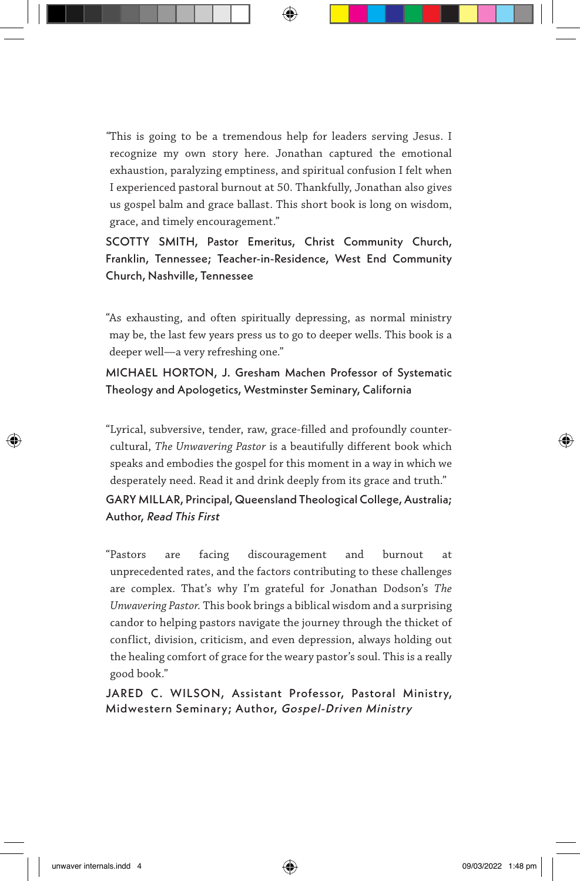*"*This is going to be a tremendous help for leaders serving Jesus. I recognize my own story here. Jonathan captured the emotional exhaustion, paralyzing emptiness, and spiritual confusion I felt when I experienced pastoral burnout at 50. Thankfully, Jonathan also gives us gospel balm and grace ballast. This short book is long on wisdom, grace, and timely encouragement."

SCOTTY SMITH, Pastor Emeritus, Christ Community Church, Franklin, Tennessee; Teacher-in-Residence, West End Community Church, Nashville, Tennessee

"As exhausting, and often spiritually depressing, as normal ministry may be, the last few years press us to go to deeper wells. This book is a deeper well—a very refreshing one."

MICHAEL HORTON, J. Gresham Machen Professor of Systematic Theology and Apologetics, Westminster Seminary, California

"Lyrical, subversive, tender, raw, grace-filled and profoundly countercultural, *The Unwavering Pastor* is a beautifully different book which speaks and embodies the gospel for this moment in a way in which we desperately need. Read it and drink deeply from its grace and truth." GARY MILLAR, Principal, Queensland Theological College, Australia; Author, Read This First

"Pastors are facing discouragement and burnout at unprecedented rates, and the factors contributing to these challenges are complex. That's why I'm grateful for Jonathan Dodson's *The Unwavering Pastor.* This book brings a biblical wisdom and a surprising candor to helping pastors navigate the journey through the thicket of conflict, division, criticism, and even depression, always holding out the healing comfort of grace for the weary pastor's soul. This is a really good book."

JARED C. WILSON, Assistant Professor, Pastoral Ministry, Midwestern Seminary; Author, Gospel-Driven Ministry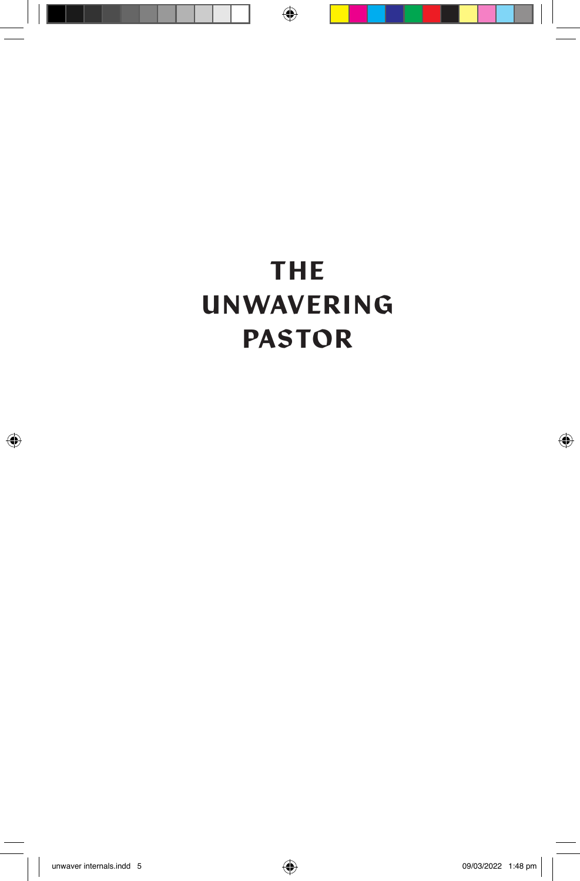# THE UNWAVERING PASTOR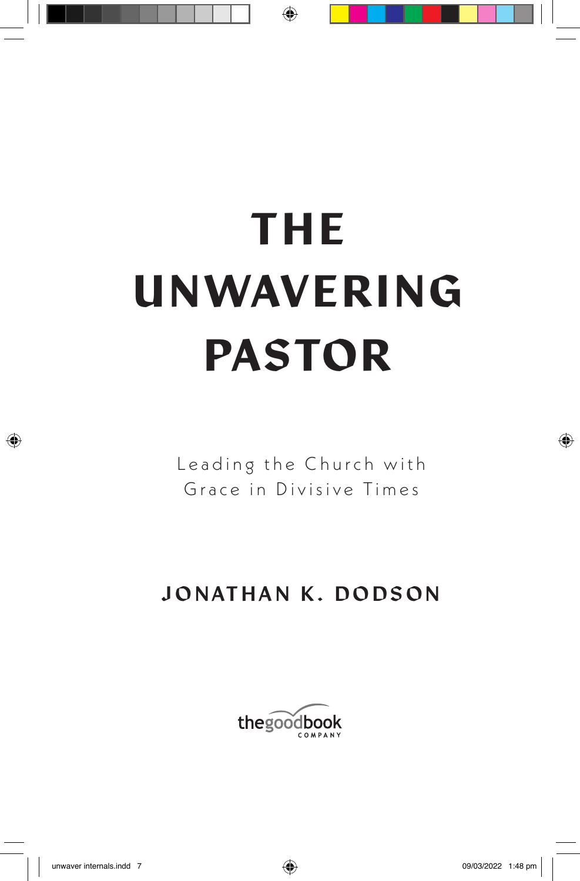# PASTOR THE UNWAVERING

Leading the Church with Grace in Divisive Times

## JONATHAN K. DODSON

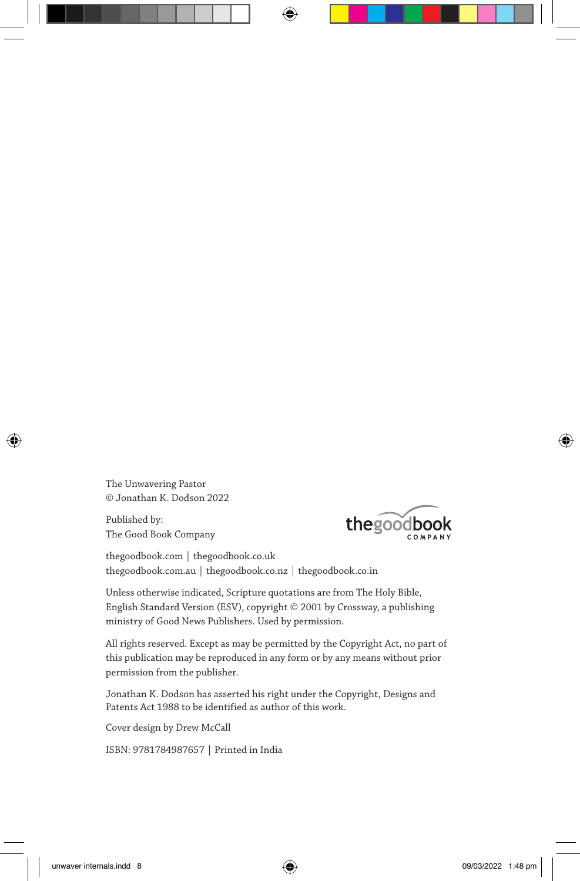The Unwavering Pastor © Jonathan K. Dodson 2022

Published by: The Good Book Company



thegoodbook.com | thegoodbook.co.uk thegoodbook.com.au | thegoodbook.co.nz | thegoodbook.co.in

Unless otherwise indicated, Scripture quotations are from The Holy Bible, English Standard Version (ESV), copyright © 2001 by Crossway, a publishing ministry of Good News Publishers. Used by permission.

All rights reserved. Except as may be permitted by the Copyright Act, no part of this publication may be reproduced in any form or by any means without prior permission from the publisher.

Jonathan K. Dodson has asserted his right under the Copyright, Designs and Patents Act 1988 to be identified as author of this work.

Cover design by Drew McCall

ISBN: 9781784987657 | Printed in India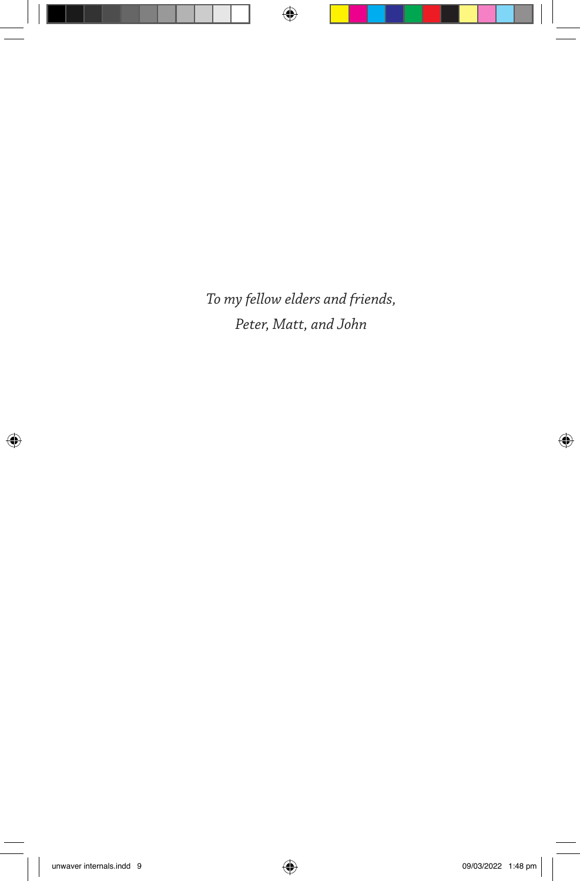*To my fellow elders and friends, Peter, Matt, and John*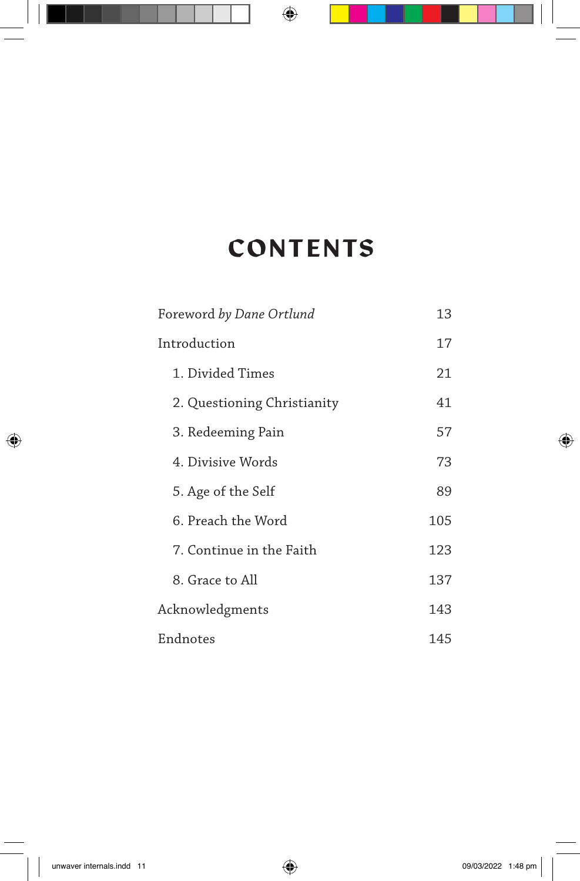## CONTENTS

| Foreword by Dane Ortlund    | 13  |
|-----------------------------|-----|
| Introduction                | 17  |
| 1. Divided Times            | 21  |
| 2. Questioning Christianity | 41  |
| 3. Redeeming Pain           | 57  |
| 4. Divisive Words           | 73  |
| 5. Age of the Self          | 89  |
| 6. Preach the Word          | 105 |
| 7. Continue in the Faith    | 123 |
| 8. Grace to All             | 137 |
| Acknowledgments             | 143 |
| Endnotes                    | 145 |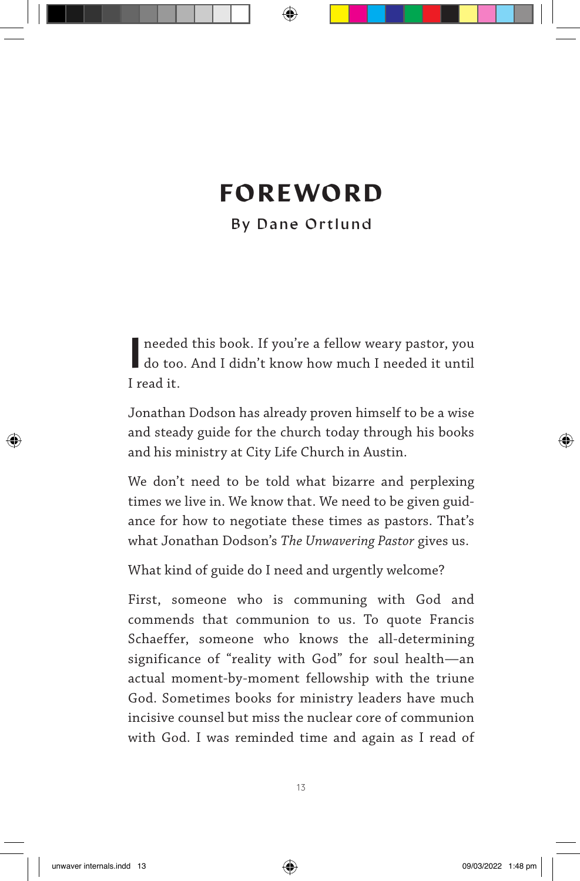## FOREWORD

By Dane Ortlund

I needed this book. If you're a fellow weary pastor, you do too. And I didn't know how much I needed it until I read it.

Jonathan Dodson has already proven himself to be a wise and steady guide for the church today through his books and his ministry at City Life Church in Austin.

We don't need to be told what bizarre and perplexing times we live in. We know that. We need to be given guidance for how to negotiate these times as pastors. That's what Jonathan Dodson's *The Unwavering Pastor* gives us.

What kind of guide do I need and urgently welcome?

First, someone who is communing with God and commends that communion to us. To quote Francis Schaeffer, someone who knows the all-determining significance of "reality with God" for soul health—an actual moment-by-moment fellowship with the triune God. Sometimes books for ministry leaders have much incisive counsel but miss the nuclear core of communion with God. I was reminded time and again as I read of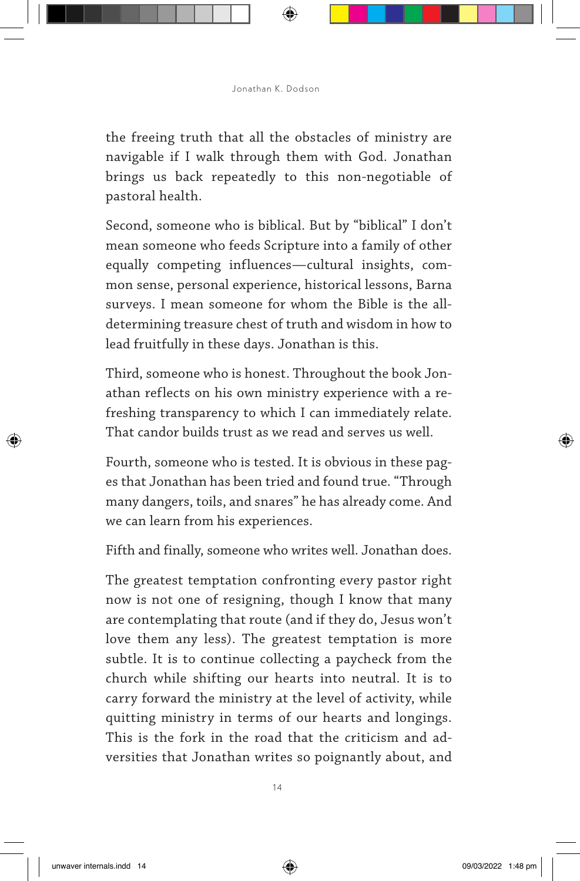the freeing truth that all the obstacles of ministry are navigable if I walk through them with God. Jonathan brings us back repeatedly to this non-negotiable of pastoral health.

Second, someone who is biblical. But by "biblical" I don't mean someone who feeds Scripture into a family of other equally competing influences—cultural insights, common sense, personal experience, historical lessons, Barna surveys. I mean someone for whom the Bible is the alldetermining treasure chest of truth and wisdom in how to lead fruitfully in these days. Jonathan is this.

Third, someone who is honest. Throughout the book Jonathan reflects on his own ministry experience with a refreshing transparency to which I can immediately relate. That candor builds trust as we read and serves us well.

Fourth, someone who is tested. It is obvious in these pages that Jonathan has been tried and found true. "Through many dangers, toils, and snares" he has already come. And we can learn from his experiences.

Fifth and finally, someone who writes well. Jonathan does.

The greatest temptation confronting every pastor right now is not one of resigning, though I know that many are contemplating that route (and if they do, Jesus won't love them any less). The greatest temptation is more subtle. It is to continue collecting a paycheck from the church while shifting our hearts into neutral. It is to carry forward the ministry at the level of activity, while quitting ministry in terms of our hearts and longings. This is the fork in the road that the criticism and adversities that Jonathan writes so poignantly about, and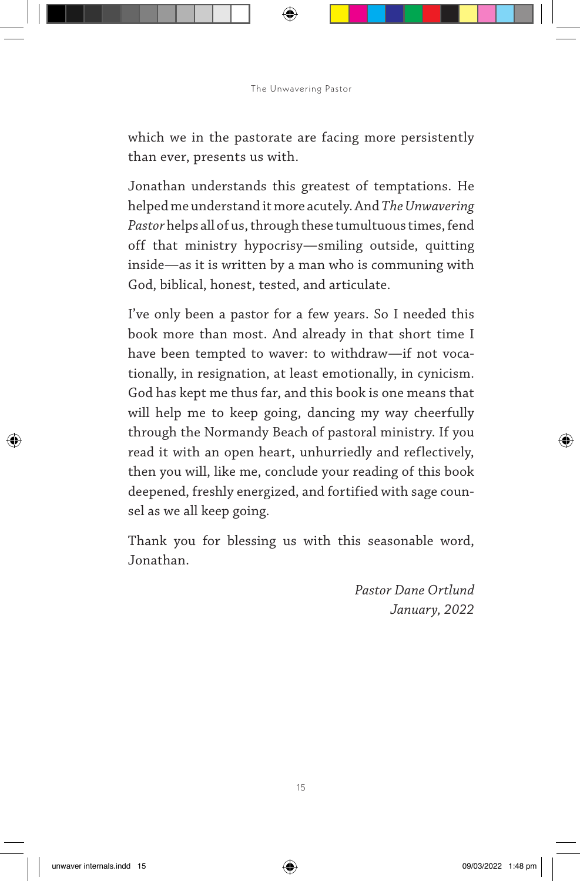which we in the pastorate are facing more persistently than ever, presents us with.

Jonathan understands this greatest of temptations. He helped me understand it more acutely. And *The Unwavering Pastor* helps all of us, through these tumultuous times, fend off that ministry hypocrisy—smiling outside, quitting inside—as it is written by a man who is communing with God, biblical, honest, tested, and articulate.

I've only been a pastor for a few years. So I needed this book more than most. And already in that short time I have been tempted to waver: to withdraw—if not vocationally, in resignation, at least emotionally, in cynicism. God has kept me thus far, and this book is one means that will help me to keep going, dancing my way cheerfully through the Normandy Beach of pastoral ministry. If you read it with an open heart, unhurriedly and reflectively, then you will, like me, conclude your reading of this book deepened, freshly energized, and fortified with sage counsel as we all keep going.

Thank you for blessing us with this seasonable word, Jonathan.

> *Pastor Dane Ortlund January, 2022*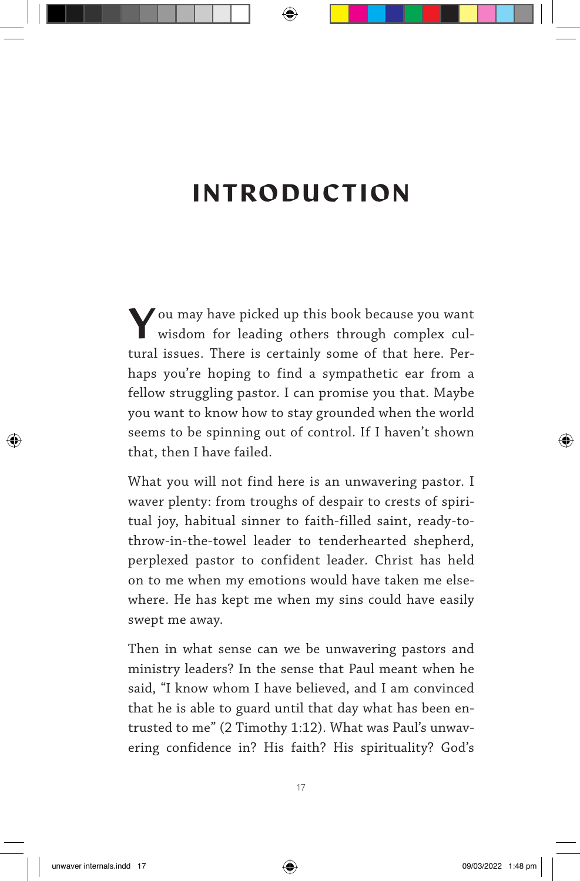## INTRODUCTION

You may have picked up this book because you want wisdom for leading others through complex cultural issues. There is certainly some of that here. Perhaps you're hoping to find a sympathetic ear from a fellow struggling pastor. I can promise you that. Maybe you want to know how to stay grounded when the world seems to be spinning out of control. If I haven't shown that, then I have failed.

What you will not find here is an unwavering pastor. I waver plenty: from troughs of despair to crests of spiritual joy, habitual sinner to faith-filled saint, ready-tothrow-in-the-towel leader to tenderhearted shepherd, perplexed pastor to confident leader. Christ has held on to me when my emotions would have taken me elsewhere. He has kept me when my sins could have easily swept me away.

Then in what sense can we be unwavering pastors and ministry leaders? In the sense that Paul meant when he said, "I know whom I have believed, and I am convinced that he is able to guard until that day what has been entrusted to me" (2 Timothy 1:12). What was Paul's unwavering confidence in? His faith? His spirituality? God's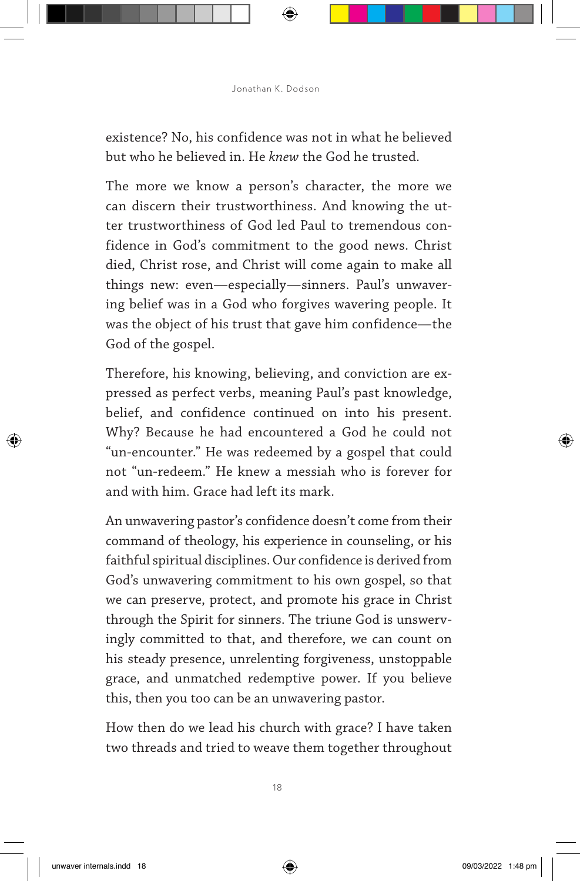existence? No, his confidence was not in what he believed but who he believed in. He *knew* the God he trusted.

The more we know a person's character, the more we can discern their trustworthiness. And knowing the utter trustworthiness of God led Paul to tremendous confidence in God's commitment to the good news. Christ died, Christ rose, and Christ will come again to make all things new: even—especially—sinners. Paul's unwavering belief was in a God who forgives wavering people. It was the object of his trust that gave him confidence—the God of the gospel.

Therefore, his knowing, believing, and conviction are expressed as perfect verbs, meaning Paul's past knowledge, belief, and confidence continued on into his present. Why? Because he had encountered a God he could not "un-encounter." He was redeemed by a gospel that could not "un-redeem." He knew a messiah who is forever for and with him. Grace had left its mark.

An unwavering pastor's confidence doesn't come from their command of theology, his experience in counseling, or his faithful spiritual disciplines. Our confidence is derived from God's unwavering commitment to his own gospel, so that we can preserve, protect, and promote his grace in Christ through the Spirit for sinners. The triune God is unswervingly committed to that, and therefore, we can count on his steady presence, unrelenting forgiveness, unstoppable grace, and unmatched redemptive power. If you believe this, then you too can be an unwavering pastor.

How then do we lead his church with grace? I have taken two threads and tried to weave them together throughout